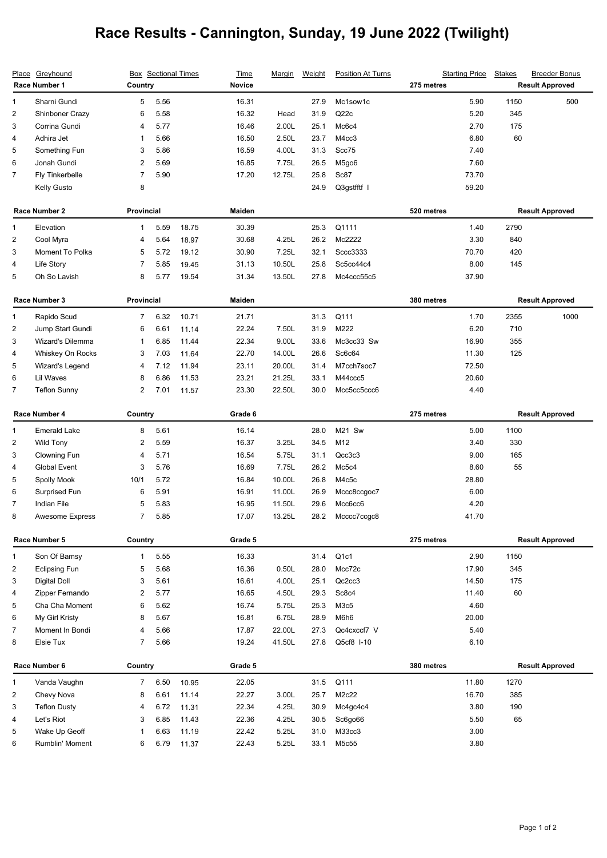## **Race Results - Cannington, Sunday, 19 June 2022 (Twilight)**

|                                  | Place Greyhound                     |                | <b>Box</b> Sectional Times |                | <b>Time</b>    | <u>Marqin</u>  | Weight       | <b>Position At Turns</b> | <b>Starting Price</b> | <b>Stakes</b>      | <b>Breeder Bonus</b>   |
|----------------------------------|-------------------------------------|----------------|----------------------------|----------------|----------------|----------------|--------------|--------------------------|-----------------------|--------------------|------------------------|
|                                  | Race Number 1                       | Country        |                            |                | <b>Novice</b>  |                |              |                          | 275 metres            |                    | <b>Result Approved</b> |
| 1                                | Sharni Gundi                        | 5              | 5.56                       |                | 16.31          |                | 27.9         | Mc1sow1c                 | 5.90                  | 1150               | 500                    |
| $\boldsymbol{2}$                 | Shinboner Crazy                     | 6              | 5.58                       |                | 16.32          | Head           | 31.9         | Q22c                     | 5.20                  | 345                |                        |
| 3                                | Corrina Gundi                       | 4              | 5.77                       |                | 16.46          | 2.00L          | 25.1         | Mc6c4                    | 2.70                  | 175                |                        |
| 4                                | Adhira Jet                          | 1              | 5.66                       |                | 16.50          | 2.50L          | 23.7         | M4cc3                    | 6.80                  | 60                 |                        |
| 5                                | Something Fun                       | 3              | 5.86                       |                | 16.59          | 4.00L          | 31.3         | Scc75                    | 7.40                  |                    |                        |
| 6                                | Jonah Gundi                         | 2              | 5.69                       |                | 16.85          | 7.75L          | 26.5         | M5go6                    | 7.60                  |                    |                        |
| 7                                | Fly Tinkerbelle                     | $\overline{7}$ | 5.90                       |                | 17.20          | 12.75L         | 25.8         | Sc87                     | 73.70                 |                    |                        |
|                                  | Kelly Gusto                         | 8              |                            |                |                |                | 24.9         | Q3gstfftf I              | 59.20                 |                    |                        |
|                                  | Race Number 2                       | Provincial     |                            |                | Maiden         |                |              |                          | 520 metres            |                    | <b>Result Approved</b> |
| 1                                | Elevation                           | $\mathbf{1}$   | 5.59                       | 18.75          | 30.39          |                | 25.3         | Q1111                    | 1.40                  | 2790               |                        |
| $\overline{2}$                   | Cool Myra                           | 4              | 5.64                       | 18.97          | 30.68          | 4.25L          | 26.2         | Mc2222                   | 3.30                  | 840                |                        |
| 3                                | Moment To Polka                     | 5              | 5.72                       | 19.12          | 30.90          | 7.25L          | 32.1         | Sccc3333                 | 70.70                 | 420                |                        |
| 4                                | Life Story                          | $\overline{7}$ | 5.85                       | 19.45          | 31.13          | 10.50L         | 25.8         | Sc5cc44c4                | 8.00                  | 145                |                        |
| 5                                | Oh So Lavish                        | 8              | 5.77                       | 19.54          | 31.34          | 13.50L         | 27.8         | Mc4ccc55c5               | 37.90                 |                    |                        |
|                                  | Race Number 3                       | Provincial     |                            |                | <b>Maiden</b>  |                |              |                          | 380 metres            |                    | <b>Result Approved</b> |
|                                  |                                     | $\overline{7}$ |                            |                | 21.71          |                | 31.3         | Q111                     | 1.70                  | 2355               | 1000                   |
| $\mathbf{1}$<br>$\boldsymbol{2}$ | Rapido Scud<br>Jump Start Gundi     | 6              | 6.32<br>6.61               | 10.71          | 22.24          | 7.50L          | 31.9         | M222                     | 6.20                  | 710                |                        |
| 3                                | Wizard's Dilemma                    | 1              | 6.85                       | 11.14<br>11.44 | 22.34          | 9.00L          | 33.6         | Mc3cc33 Sw               | 16.90                 | 355                |                        |
| 4                                |                                     | 3              | 7.03                       | 11.64          | 22.70          | 14.00L         | 26.6         | Sc6c64                   | 11.30                 | 125                |                        |
| 5                                | Whiskey On Rocks<br>Wizard's Legend | 4              | 7.12                       | 11.94          | 23.11          | 20.00L         | 31.4         | M7cch7soc7               | 72.50                 |                    |                        |
| 6                                | Lil Waves                           | 8              | 6.86                       | 11.53          | 23.21          | 21.25L         | 33.1         | M44ccc5                  | 20.60                 |                    |                        |
| 7                                | <b>Teflon Sunny</b>                 | 2              | 7.01                       | 11.57          | 23.30          | 22.50L         | 30.0         | Mcc5cc5ccc6              | 4.40                  |                    |                        |
|                                  |                                     |                |                            |                |                |                |              |                          |                       |                    |                        |
| Race Number 4                    |                                     | Country        |                            |                | Grade 6        |                |              |                          | 275 metres            |                    | <b>Result Approved</b> |
|                                  |                                     |                |                            |                |                |                |              |                          |                       |                    |                        |
| 1                                | <b>Emerald Lake</b>                 | 8              | 5.61                       |                | 16.14          |                | 28.0         | <b>M21 Sw</b>            | 5.00                  | 1100               |                        |
| 2                                | <b>Wild Tony</b>                    | 2              | 5.59                       |                | 16.37          | 3.25L          | 34.5         | M12                      | 3.40                  | 330                |                        |
| 3                                | Clowning Fun                        | 4              | 5.71                       |                | 16.54          | 5.75L          | 31.1         | Qcc3c3                   | 9.00                  | 165                |                        |
| $\overline{4}$                   | Global Event                        | 3              | 5.76                       |                | 16.69          | 7.75L          | 26.2         | Mc5c4                    | 8.60                  | 55                 |                        |
| 5                                | Spolly Mook                         | 10/1           | 5.72                       |                | 16.84          | 10.00L         | 26.8         | M4c5c                    | 28.80                 |                    |                        |
| 6                                | Surprised Fun                       | 6              | 5.91                       |                | 16.91          | 11.00L         | 26.9         | Mccc8ccgoc7              | 6.00                  |                    |                        |
| $\overline{7}$                   | Indian File                         | 5              | 5.83                       |                | 16.95          | 11.50L         | 29.6         | Mcc6cc6                  | 4.20                  |                    |                        |
| 8                                | <b>Awesome Express</b>              | $\overline{7}$ | 5.85                       |                | 17.07          | 13.25L         | 28.2         | Mcccc7ccgc8              | 41.70                 |                    |                        |
|                                  | Race Number 5                       | Country        |                            |                | Grade 5        |                |              |                          | 275 metres            |                    | <b>Result Approved</b> |
| $\mathbf{1}$                     | Son Of Bamsy                        | $\mathbf{1}$   | 5.55                       |                | 16.33          |                | 31.4         | Q <sub>1</sub> c1        | 2.90                  | 1150               |                        |
| 2                                | <b>Eclipsing Fun</b>                | 5              | 5.68                       |                | 16.36          | 0.50L          | 28.0         | Mcc72c                   | 17.90                 | 345                |                        |
| 3                                | Digital Doll                        | 3              | 5.61                       |                | 16.61          | 4.00L          | 25.1         | Qc2cc3                   | 14.50                 | 175                |                        |
| 4                                | Zipper Fernando                     | 2              | 5.77                       |                | 16.65          | 4.50L          | 29.3         | Sc8c4                    | 11.40                 | 60                 |                        |
| 5                                | Cha Cha Moment                      | 6              | 5.62                       |                | 16.74          | 5.75L          | 25.3         | M3c5                     |                       | 4.60               |                        |
| 6                                | My Girl Kristy                      | 8              | 5.67                       |                | 16.81          | 6.75L          | 28.9         | M6h6                     | 20.00                 |                    |                        |
| 7                                | Moment In Bondi                     | 4              | 5.66                       |                | 17.87          | 22.00L         | 27.3         | Qc4cxccf7 V              |                       | 5.40               |                        |
| 8                                | Elsie Tux                           | $\overline{7}$ | 5.66                       |                | 19.24          | 41.50L         | 27.8         | Q5cf8 I-10               |                       | 6.10               |                        |
|                                  | Race Number 6                       | Country        |                            |                | Grade 5        |                |              |                          | 380 metres            |                    | <b>Result Approved</b> |
|                                  |                                     |                |                            |                |                |                |              |                          |                       |                    |                        |
| 1                                | Vanda Vaughn                        | $\overline{7}$ | 6.50                       | 10.95          | 22.05          |                | 31.5         | Q111                     | 11.80                 | 1270               |                        |
| $\overline{\mathbf{c}}$          | Chevy Nova                          | 8              | 6.61                       | 11.14          | 22.27          | 3.00L          | 25.7         | M2c22                    | 16.70                 | 385                |                        |
| 3                                | <b>Teflon Dusty</b>                 | 4              | 6.72                       | 11.31          | 22.34          | 4.25L          | 30.9         | Mc4gc4c4                 |                       | 3.80<br>190        |                        |
| 4<br>5                           | Let's Riot<br>Wake Up Geoff         | 3<br>1         | 6.85<br>6.63               | 11.43<br>11.19 | 22.36<br>22.42 | 4.25L<br>5.25L | 30.5<br>31.0 | Sc6go66<br>M33cc3        |                       | 5.50<br>65<br>3.00 |                        |